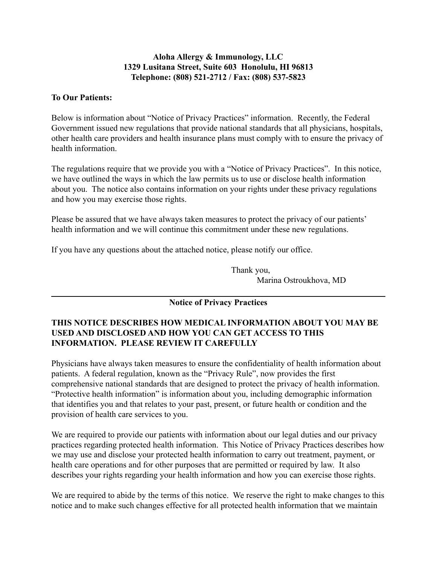#### **Aloha Allergy & Immunology, LLC 1329 Lusitana Street, Suite 603 Honolulu, HI 96813 Telephone: (808) 521-2712 / Fax: (808) 537-5823**

### **To Our Patients:**

Below is information about "Notice of Privacy Practices" information. Recently, the Federal Government issued new regulations that provide national standards that all physicians, hospitals, other health care providers and health insurance plans must comply with to ensure the privacy of health information.

The regulations require that we provide you with a "Notice of Privacy Practices". In this notice, we have outlined the ways in which the law permits us to use or disclose health information about you. The notice also contains information on your rights under these privacy regulations and how you may exercise those rights.

Please be assured that we have always taken measures to protect the privacy of our patients' health information and we will continue this commitment under these new regulations.

If you have any questions about the attached notice, please notify our office.

Thank you, Marina Ostroukhova, MD

# **Notice of Privacy Practices**

## **THIS NOTICE DESCRIBES HOW MEDICAL INFORMATION ABOUT YOU MAY BE USED AND DISCLOSED AND HOW YOU CAN GET ACCESS TO THIS INFORMATION. PLEASE REVIEW IT CAREFULLY**

Physicians have always taken measures to ensure the confidentiality of health information about patients. A federal regulation, known as the "Privacy Rule", now provides the first comprehensive national standards that are designed to protect the privacy of health information. "Protective health information" is information about you, including demographic information that identifies you and that relates to your past, present, or future health or condition and the provision of health care services to you.

We are required to provide our patients with information about our legal duties and our privacy practices regarding protected health information. This Notice of Privacy Practices describes how we may use and disclose your protected health information to carry out treatment, payment, or health care operations and for other purposes that are permitted or required by law. It also describes your rights regarding your health information and how you can exercise those rights.

We are required to abide by the terms of this notice. We reserve the right to make changes to this notice and to make such changes effective for all protected health information that we maintain